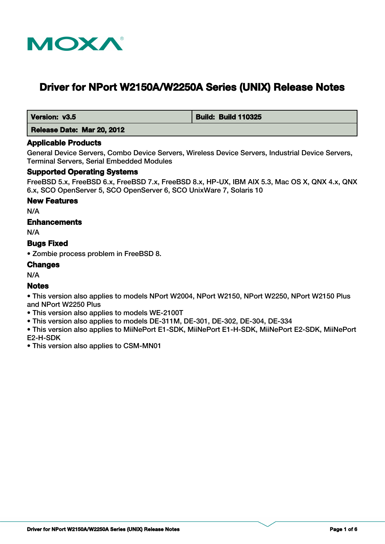

# **Driver for NPort W2150A/W2250A Series (UNIX) Release Notes**

 **Version: v3.5 Build: Build: Build 110325** 

 **Release Date: Mar 20, 2012**

## **Applicable Products**

General Device Servers, Combo Device Servers, Wireless Device Servers, Industrial Device Servers, Terminal Servers, Serial Embedded Modules

## **Supported Operating Systems**

FreeBSD 5.x, FreeBSD 6.x, FreeBSD 7.x, FreeBSD 8.x, HP-UX, IBM AIX 5.3, Mac OS X, QNX 4.x, QNX 6.x, SCO OpenServer 5, SCO OpenServer 6, SCO UnixWare 7, Solaris 10

#### **New Features**

N/A

# **Enhancements**

N/A

# **Bugs Fixed**

• Zombie process problem in FreeBSD 8.

## **Changes**

N/A

## **Notes**

• This version also applies to models NPort W2004, NPort W2150, NPort W2250, NPort W2150 Plus and NPort W2250 Plus

- This version also applies to models WE-2100T
- This version also applies to models DE-311M, DE-301, DE-302, DE-304, DE-334

• This version also applies to MiiNePort E1-SDK, MiiNePort E1-H-SDK, MiiNePort E2-SDK, MiiNePort E2-H-SDK

• This version also applies to CSM-MN01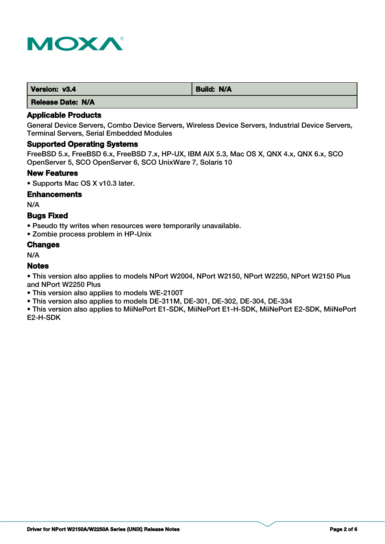

| Version: v3.4 | <b>Build: N/A</b> |
|---------------|-------------------|
|               |                   |

## **Applicable Products**

General Device Servers, Combo Device Servers, Wireless Device Servers, Industrial Device Servers, Terminal Servers, Serial Embedded Modules

## **Supported Operating Systems**

FreeBSD 5.x, FreeBSD 6.x, FreeBSD 7.x, HP-UX, IBM AIX 5.3, Mac OS X, QNX 4.x, QNX 6.x, SCO OpenServer 5, SCO OpenServer 6, SCO UnixWare 7, Solaris 10

#### **New Features**

• Supports Mac OS X v10.3 later.

#### **Enhancements**

N/A

## **Bugs Fixed**

• Pseudo tty writes when resources were temporarily unavailable.

• Zombie process problem in HP-Unix

#### **Changes**

N/A

## **Notes**

• This version also applies to models NPort W2004, NPort W2150, NPort W2250, NPort W2150 Plus and NPort W2250 Plus

- This version also applies to models WE-2100T
- This version also applies to models DE-311M, DE-301, DE-302, DE-304, DE-334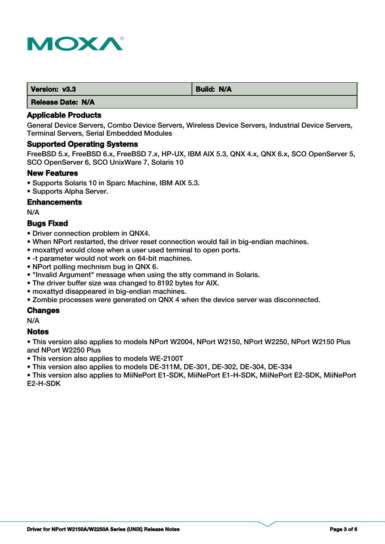

| Version: v3.3 | Build: N/A |
|---------------|------------|
| .             |            |

# **Applicable Products**

General Device Servers, Combo Device Servers, Wireless Device Servers, Industrial Device Servers, Terminal Servers, Serial Embedded Modules

## **Supported Operating Systems**

FreeBSD 5.x, FreeBSD 6.x, FreeBSD 7.x, HP-UX, IBM AIX 5.3, QNX 4.x, QNX 6.x, SCO OpenServer 5, SCO OpenServer 6, SCO UnixWare 7, Solaris 10

## **New Features**

- Supports Solaris 10 in Sparc Machine, IBM AIX 5.3.
- Supports Alpha Server.

## **Enhancements**

N/A

# **Bugs Fixed**

- Driver connection problem in QNX4.
- When NPort restarted, the driver reset connection would fail in big-endian machines.
- moxattyd would close when a user used terminal to open ports.
- -t parameter would not work on 64-bit machines.
- NPort polling mechnism bug in QNX 6.
- "Invalid Argument" message when using the stty command in Solaris.
- The driver buffer size was changed to 8192 bytes for AIX.
- moxattyd disappeared in big-endian machines.
- Zombie processes were generated on QNX 4 when the device server was disconnected.

# **Changes**

N/A

## **Notes**

• This version also applies to models NPort W2004, NPort W2150, NPort W2250, NPort W2150 Plus and NPort W2250 Plus

• This version also applies to models WE-2100T

• This version also applies to models DE-311M, DE-301, DE-302, DE-304, DE-334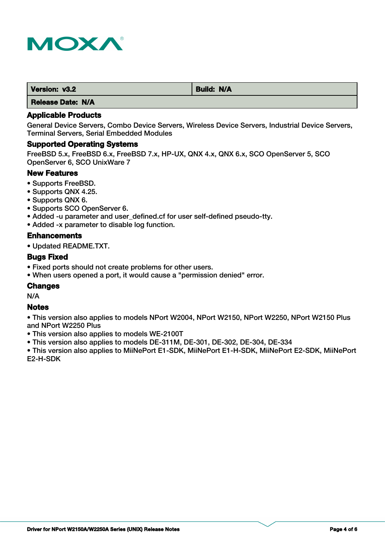

| Version: v3.2            | <b>Build: N/A</b> |
|--------------------------|-------------------|
| I Malaysia Malaysia 1974 |                   |

# **Applicable Products**

General Device Servers, Combo Device Servers, Wireless Device Servers, Industrial Device Servers, Terminal Servers, Serial Embedded Modules

#### **Supported Operating Systems**

FreeBSD 5.x, FreeBSD 6.x, FreeBSD 7.x, HP-UX, QNX 4.x, QNX 6.x, SCO OpenServer 5, SCO OpenServer 6, SCO UnixWare 7

#### **New Features**

- Supports FreeBSD.
- Supports QNX 4.25.
- Supports QNX 6.
- Supports SCO OpenServer 6.
- Added -u parameter and user\_defined.cf for user self-defined pseudo-tty.
- Added -x parameter to disable log function.

#### **Enhancements**

• Updated README.TXT.

# **Bugs Fixed**

- Fixed ports should not create problems for other users.
- When users opened a port, it would cause a "permission denied" error.

## **Changes**

N/A

#### **Notes**

• This version also applies to models NPort W2004, NPort W2150, NPort W2250, NPort W2150 Plus and NPort W2250 Plus

• This version also applies to models WE-2100T

• This version also applies to models DE-311M, DE-301, DE-302, DE-304, DE-334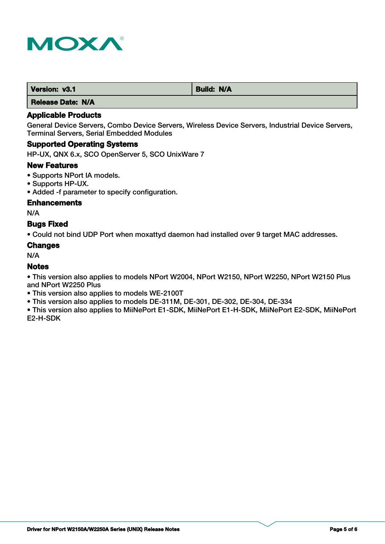

| Version: v3.1 | <b>Build: N/A</b> |
|---------------|-------------------|
| .<br>----     |                   |

## **Applicable Products**

General Device Servers, Combo Device Servers, Wireless Device Servers, Industrial Device Servers, Terminal Servers, Serial Embedded Modules

# **Supported Operating Systems**

HP-UX, QNX 6.x, SCO OpenServer 5, SCO UnixWare 7

#### **New Features**

- Supports NPort IA models.
- Supports HP-UX.
- Added -f parameter to specify configuration.

## **Enhancements**

N/A

## **Bugs Fixed**

• Could not bind UDP Port when moxattyd daemon had installed over 9 target MAC addresses.

#### **Changes**

N/A

## **Notes**

• This version also applies to models NPort W2004, NPort W2150, NPort W2250, NPort W2150 Plus and NPort W2250 Plus

- This version also applies to models WE-2100T
- This version also applies to models DE-311M, DE-301, DE-302, DE-304, DE-334